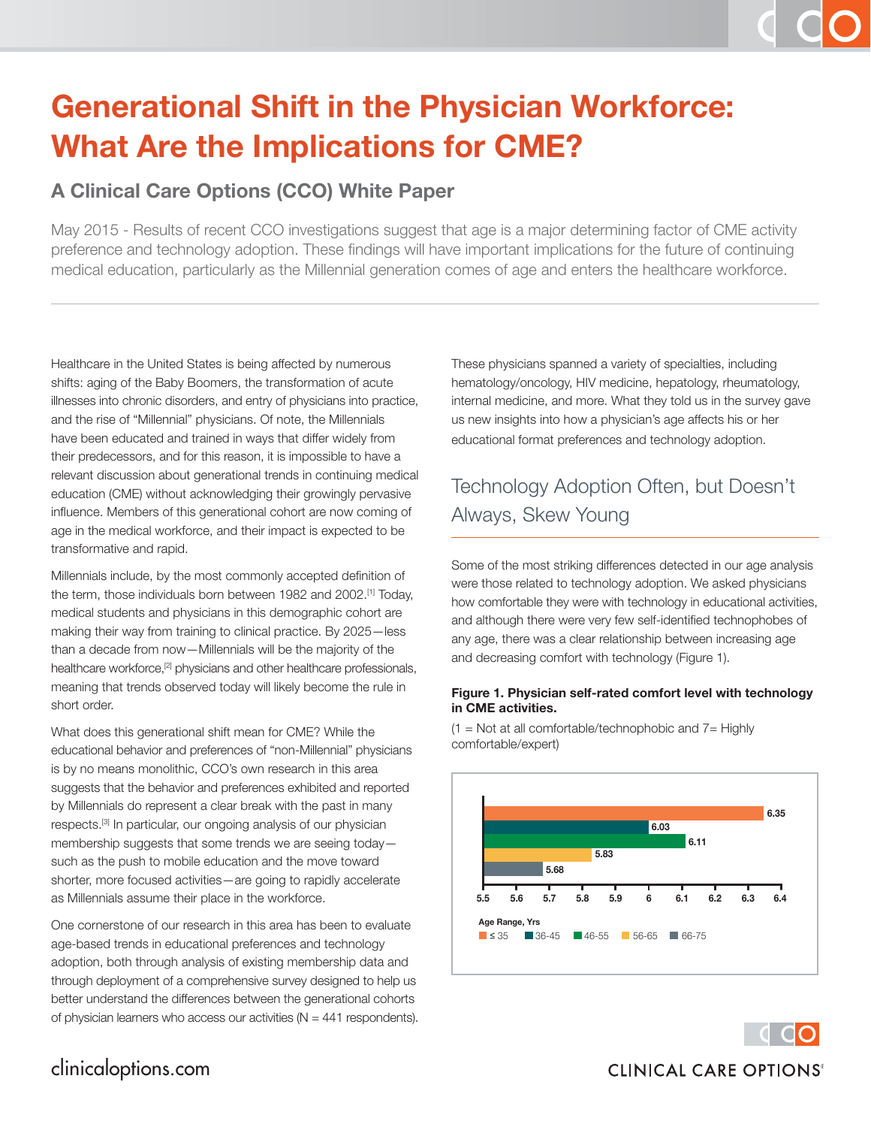# **Generational Shift in the Physician Workforce: What Are the Implications for CME?**

#### **A Clinical Care Options (CCO) White Paper**

May 2015 - Results of recent CCO investigations suggest that age is a major determining factor of CME activity preference and technology adoption. These findings will have important implications for the future of continuing medical education, particularly as the Millennial generation comes of age and enters the healthcare workforce.

Healthcare in the United States is being affected by numerous shifts: aging of the Baby Boomers, the transformation of acute illnesses into chronic disorders, and entry of physicians into practice, and the rise of "Millennial" physicians. Of note, the Millennials have been educated and trained in ways that differ widely from their predecessors, and for this reason, it is impossible to have a relevant discussion about generational trends in continuing medical education (CME) without acknowledging their growingly pervasive influence. Members of this generational cohort are now coming of age in the medical workforce, and their impact is expected to be transformative and rapid.

Millennials include, by the most commonly accepted definition of the term, those individuals born between 1982 and 2002.[1] Today, medical students and physicians in this demographic cohort are making their way from training to clinical practice. By 2025—less than a decade from now—Millennials will be the majority of the healthcare workforce,<sup>[2]</sup> physicians and other healthcare professionals, meaning that trends observed today will likely become the rule in short order.

What does this generational shift mean for CME? While the educational behavior and preferences of "non-Millennial" physicians is by no means monolithic, CCO's own research in this area suggests that the behavior and preferences exhibited and reported by Millennials do represent a clear break with the past in many respects.[3] In particular, our ongoing analysis of our physician membership suggests that some trends we are seeing today such as the push to mobile education and the move toward shorter, more focused activities—are going to rapidly accelerate as Millennials assume their place in the workforce.

One cornerstone of our research in this area has been to evaluate age-based trends in educational preferences and technology adoption, both through analysis of existing membership data and through deployment of a comprehensive survey designed to help us better understand the differences between the generational cohorts of physician learners who access our activities ( $N = 441$  respondents). These physicians spanned a variety of specialties, including hematology/oncology, HIV medicine, hepatology, rheumatology, internal medicine, and more. What they told us in the survey gave us new insights into how a physician's age affects his or her educational format preferences and technology adoption.

## Technology Adoption Often, but Doesn't Always, Skew Young

Some of the most striking differences detected in our age analysis were those related to technology adoption. We asked physicians how comfortable they were with technology in educational activities, and although there were very few self-identified technophobes of any age, there was a clear relationship between increasing age and decreasing comfort with technology (Figure 1).

#### **Figure 1. Physician self-rated comfort level with technology in CME activities.**

 $(1 = Not at all comfortable/technophobic and 7 = Highly)$ comfortable/expert)



#### clinicaloptions.com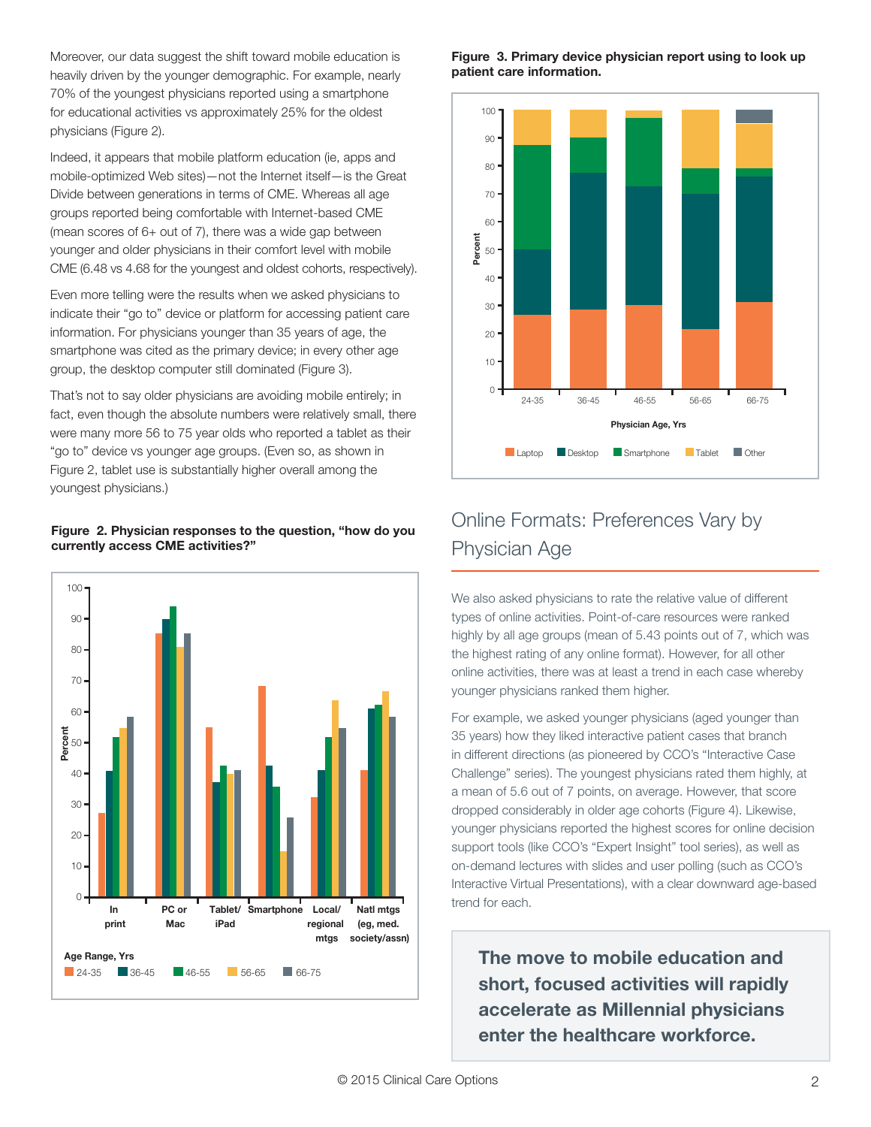Moreover, our data suggest the shift toward mobile education is heavily driven by the younger demographic. For example, nearly 70% of the youngest physicians reported using a smartphone for educational activities vs approximately 25% for the oldest physicians (Figure 2).

Indeed, it appears that mobile platform education (ie, apps and mobile-optimized Web sites)—not the Internet itself—is the Great Divide between generations in terms of CME. Whereas all age groups reported being comfortable with Internet-based CME (mean scores of 6+ out of 7), there was a wide gap between younger and older physicians in their comfort level with mobile CME (6.48 vs 4.68 for the youngest and oldest cohorts, respectively).

Even more telling were the results when we asked physicians to indicate their "go to" device or platform for accessing patient care information. For physicians younger than 35 years of age, the smartphone was cited as the primary device; in every other age group, the desktop computer still dominated (Figure 3).

That's not to say older physicians are avoiding mobile entirely; in fact, even though the absolute numbers were relatively small, there were many more 56 to 75 year olds who reported a tablet as their "go to" device vs younger age groups. (Even so, as shown in Figure 2, tablet use is substantially higher overall among the youngest physicians.)

#### **Figure 2. Physician responses to the question, "how do you currently access CME activities?"**



#### **Figure 3. Primary device physician report using to look up patient care information.**



## Online Formats: Preferences Vary by Physician Age

We also asked physicians to rate the relative value of different types of online activities. Point-of-care resources were ranked highly by all age groups (mean of 5.43 points out of 7, which was the highest rating of any online format). However, for all other online activities, there was at least a trend in each case whereby younger physicians ranked them higher.

For example, we asked younger physicians (aged younger than 35 years) how they liked interactive patient cases that branch in different directions (as pioneered by CCO's "Interactive Case Challenge" series). The youngest physicians rated them highly, at a mean of 5.6 out of 7 points, on average. However, that score dropped considerably in older age cohorts (Figure 4). Likewise, younger physicians reported the highest scores for online decision support tools (like CCO's "Expert Insight" tool series), as well as on-demand lectures with slides and user polling (such as CCO's Interactive Virtual Presentations), with a clear downward age-based trend for each.

**The move to mobile education and short, focused activities will rapidly accelerate as Millennial physicians enter the healthcare workforce.**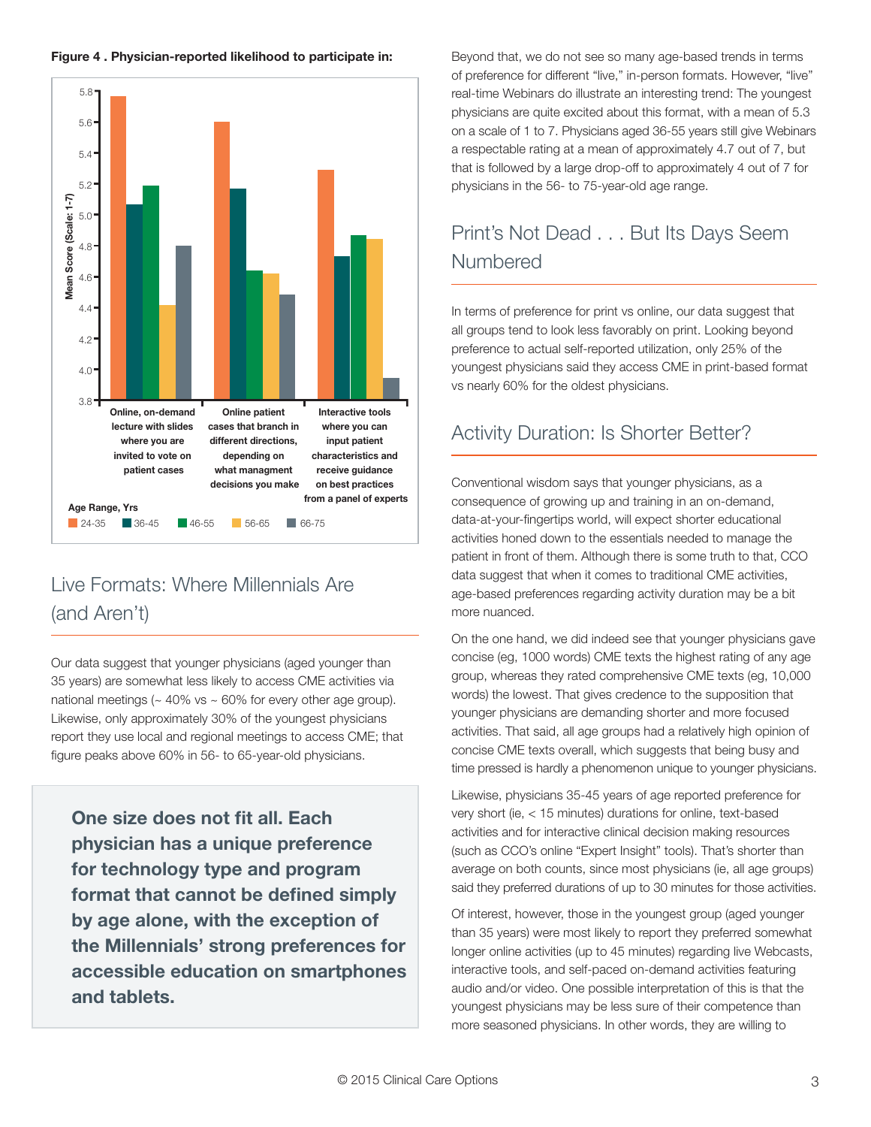

## Live Formats: Where Millennials Are (and Aren't)

Our data suggest that younger physicians (aged younger than 35 years) are somewhat less likely to access CME activities via national meetings ( $\sim$  40% vs  $\sim$  60% for every other age group). Likewise, only approximately 30% of the youngest physicians report they use local and regional meetings to access CME; that figure peaks above 60% in 56- to 65-year-old physicians.

**One size does not fit all. Each physician has a unique preference for technology type and program** format that cannot be defined simply **by age alone, with the exception of the Millennials' strong preferences for accessible education on smartphones and tablets.**

**Figure 4. Physician-reported likelihood to participate in:** Beyond that, we do not see so many age-based trends in terms of preference for different "live," in-person formats. However, "live" real-time Webinars do illustrate an interesting trend: The youngest physicians are quite excited about this format, with a mean of 5.3 on a scale of 1 to 7. Physicians aged 36-55 years still give Webinars a respectable rating at a mean of approximately 4.7 out of 7, but that is followed by a large drop-off to approximately 4 out of 7 for physicians in the 56- to 75-year-old age range.

## Print's Not Dead . . . But Its Days Seem Numbered

In terms of preference for print vs online, our data suggest that all groups tend to look less favorably on print. Looking beyond preference to actual self-reported utilization, only 25% of the youngest physicians said they access CME in print-based format vs nearly 60% for the oldest physicians.

#### Activity Duration: Is Shorter Better?

Conventional wisdom says that younger physicians, as a consequence of growing up and training in an on-demand, data-at-your-fingertips world, will expect shorter educational activities honed down to the essentials needed to manage the patient in front of them. Although there is some truth to that, CCO data suggest that when it comes to traditional CME activities, age-based preferences regarding activity duration may be a bit more nuanced.

On the one hand, we did indeed see that younger physicians gave concise (eg, 1000 words) CME texts the highest rating of any age group, whereas they rated comprehensive CME texts (eg, 10,000 words) the lowest. That gives credence to the supposition that younger physicians are demanding shorter and more focused activities. That said, all age groups had a relatively high opinion of concise CME texts overall, which suggests that being busy and time pressed is hardly a phenomenon unique to younger physicians.

Likewise, physicians 35-45 years of age reported preference for very short (ie, < 15 minutes) durations for online, text-based activities and for interactive clinical decision making resources (such as CCO's online "Expert Insight" tools). That's shorter than average on both counts, since most physicians (ie, all age groups) said they preferred durations of up to 30 minutes for those activities.

Of interest, however, those in the youngest group (aged younger than 35 years) were most likely to report they preferred somewhat longer online activities (up to 45 minutes) regarding live Webcasts, interactive tools, and self-paced on-demand activities featuring audio and/or video. One possible interpretation of this is that the youngest physicians may be less sure of their competence than more seasoned physicians. In other words, they are willing to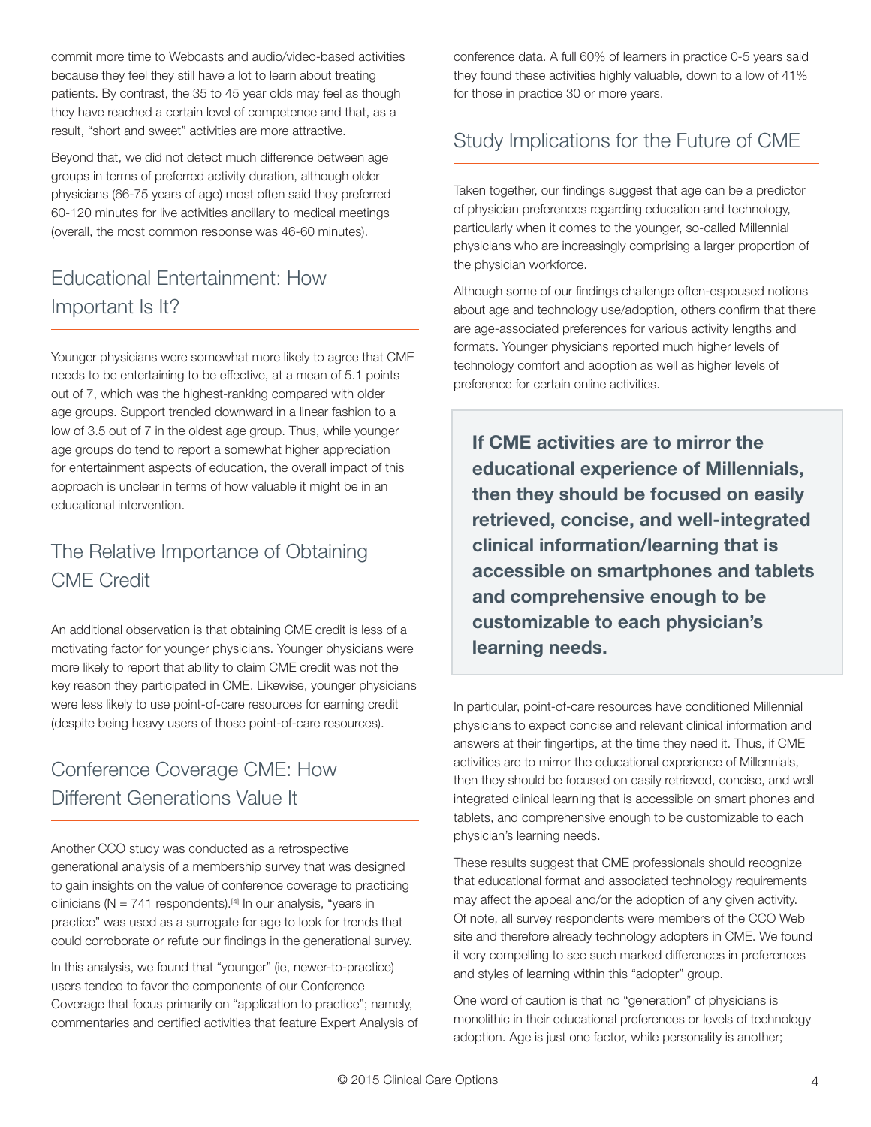commit more time to Webcasts and audio/video-based activities because they feel they still have a lot to learn about treating patients. By contrast, the 35 to 45 year olds may feel as though they have reached a certain level of competence and that, as a result, "short and sweet" activities are more attractive.

Beyond that, we did not detect much difference between age groups in terms of preferred activity duration, although older physicians (66-75 years of age) most often said they preferred 60-120 minutes for live activities ancillary to medical meetings (overall, the most common response was 46-60 minutes).

## Educational Entertainment: How Important Is It?

Younger physicians were somewhat more likely to agree that CME needs to be entertaining to be effective, at a mean of 5.1 points out of 7, which was the highest-ranking compared with older age groups. Support trended downward in a linear fashion to a low of 3.5 out of 7 in the oldest age group. Thus, while younger age groups do tend to report a somewhat higher appreciation for entertainment aspects of education, the overall impact of this approach is unclear in terms of how valuable it might be in an educational intervention.

#### The Relative Importance of Obtaining CME Credit

An additional observation is that obtaining CME credit is less of a motivating factor for younger physicians. Younger physicians were more likely to report that ability to claim CME credit was not the key reason they participated in CME. Likewise, younger physicians were less likely to use point-of-care resources for earning credit (despite being heavy users of those point-of-care resources).

## Conference Coverage CME: How Different Generations Value It

Another CCO study was conducted as a retrospective generational analysis of a membership survey that was designed to gain insights on the value of conference coverage to practicing clinicians ( $N = 741$  respondents).<sup>[4]</sup> In our analysis, "years in practice" was used as a surrogate for age to look for trends that could corroborate or refute our findings in the generational survey.

In this analysis, we found that "younger" (ie, newer-to-practice) users tended to favor the components of our Conference Coverage that focus primarily on "application to practice"; namely, commentaries and certified activities that feature Expert Analysis of conference data. A full 60% of learners in practice 0-5 years said they found these activities highly valuable, down to a low of 41% for those in practice 30 or more years.

## Study Implications for the Future of CME

Taken together, our findings suggest that age can be a predictor of physician preferences regarding education and technology, particularly when it comes to the younger, so-called Millennial physicians who are increasingly comprising a larger proportion of the physician workforce.

Although some of our findings challenge often-espoused notions about age and technology use/adoption, others confirm that there are age-associated preferences for various activity lengths and formats. Younger physicians reported much higher levels of technology comfort and adoption as well as higher levels of preference for certain online activities.

**If CME activities are to mirror the educational experience of Millennials, then they should be focused on easily retrieved, concise, and well-integrated clinical information/learning that is accessible on smartphones and tablets and comprehensive enough to be customizable to each physician's learning needs.**

In particular, point-of-care resources have conditioned Millennial physicians to expect concise and relevant clinical information and answers at their fingertips, at the time they need it. Thus, if CME activities are to mirror the educational experience of Millennials, then they should be focused on easily retrieved, concise, and well integrated clinical learning that is accessible on smart phones and tablets, and comprehensive enough to be customizable to each physician's learning needs.

These results suggest that CME professionals should recognize that educational format and associated technology requirements may affect the appeal and/or the adoption of any given activity. Of note, all survey respondents were members of the CCO Web site and therefore already technology adopters in CME. We found it very compelling to see such marked differences in preferences and styles of learning within this "adopter" group.

One word of caution is that no "generation" of physicians is monolithic in their educational preferences or levels of technology adoption. Age is just one factor, while personality is another;